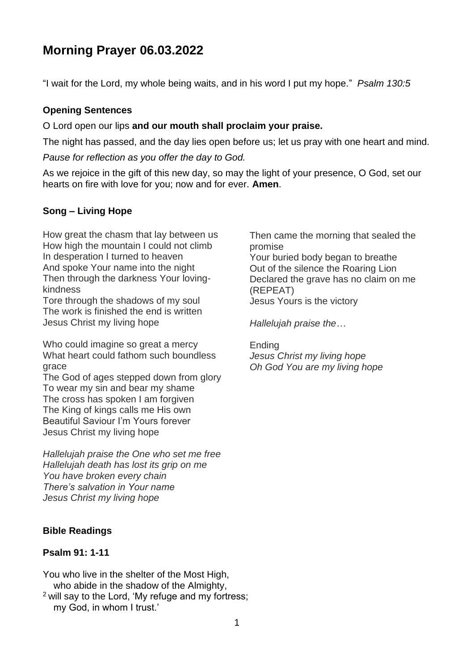# **Morning Prayer 06.03.2022**

"I wait for the Lord, my whole being waits, and in his word I put my hope." *Psalm 130:5*

#### **Opening Sentences**

O Lord open our lips **and our mouth shall proclaim your praise.**

The night has passed, and the day lies open before us; let us pray with one heart and mind.

*Pause for reflection as you offer the day to God.*

As we rejoice in the gift of this new day, so may the light of your presence, O God, set our hearts on fire with love for you; now and for ever. **Amen**.

## **Song – Living Hope**

How great the chasm that lay between us How high the mountain I could not climb In desperation I turned to heaven And spoke Your name into the night Then through the darkness Your lovingkindness

Tore through the shadows of my soul The work is finished the end is written Jesus Christ my living hope

Who could imagine so great a mercy What heart could fathom such boundless grace

The God of ages stepped down from glory To wear my sin and bear my shame The cross has spoken I am forgiven The King of kings calls me His own Beautiful Saviour I'm Yours forever Jesus Christ my living hope

*Hallelujah praise the One who set me free Hallelujah death has lost its grip on me You have broken every chain There's salvation in Your name Jesus Christ my living hope*

## **Bible Readings**

#### **Psalm 91: 1-11**

You who live in the shelter of the Most High, who abide in the shadow of the Almighty, <sup>2</sup> will say to the Lord, 'My refuge and my fortress; my God, in whom I trust.'

Then came the morning that sealed the promise Your buried body began to breathe Out of the silence the Roaring Lion Declared the grave has no claim on me (REPEAT) Jesus Yours is the victory

*Hallelujah praise the…*

**Ending** *Jesus Christ my living hope Oh God You are my living hope*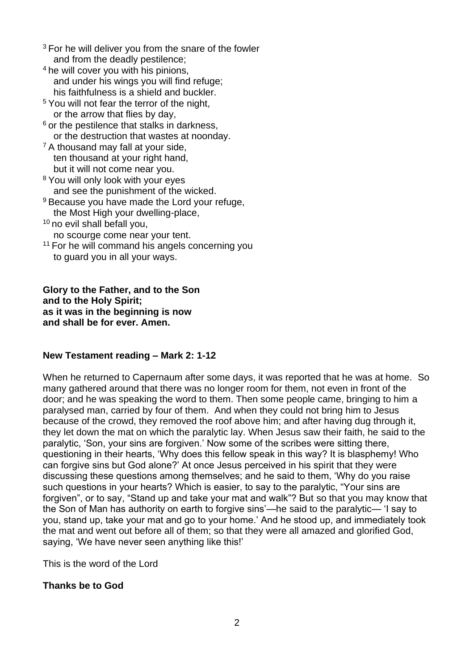- $3$  For he will deliver you from the snare of the fowler and from the deadly pestilence;
- <sup>4</sup> he will cover you with his pinions, and under his wings you will find refuge; his faithfulness is a shield and buckler.
- <sup>5</sup> You will not fear the terror of the night, or the arrow that flies by day,
- $6$  or the pestilence that stalks in darkness, or the destruction that wastes at noonday.
- <sup>7</sup> A thousand may fall at your side, ten thousand at your right hand, but it will not come near you.
- <sup>8</sup> You will only look with your eyes and see the punishment of the wicked.
- <sup>9</sup> Because you have made the Lord your refuge, the Most High your dwelling-place,
- $10$  no evil shall befall you. no scourge come near your tent.
- <sup>11</sup> For he will command his angels concerning you to guard you in all your ways.

**Glory to the Father, and to the Son and to the Holy Spirit; as it was in the beginning is now and shall be for ever. Amen.**

## **New Testament reading – Mark 2: 1-12**

When he returned to Capernaum after some days, it was reported that he was at home. So many gathered around that there was no longer room for them, not even in front of the door; and he was speaking the word to them. Then some people came, bringing to him a paralysed man, carried by four of them. And when they could not bring him to Jesus because of the crowd, they removed the roof above him; and after having dug through it, they let down the mat on which the paralytic lay. When Jesus saw their faith, he said to the paralytic, 'Son, your sins are forgiven.' Now some of the scribes were sitting there, questioning in their hearts, 'Why does this fellow speak in this way? It is blasphemy! Who can forgive sins but God alone?' At once Jesus perceived in his spirit that they were discussing these questions among themselves; and he said to them, 'Why do you raise such questions in your hearts? Which is easier, to say to the paralytic, "Your sins are forgiven", or to say, "Stand up and take your mat and walk"? But so that you may know that the Son of Man has authority on earth to forgive sins'—he said to the paralytic— 'I say to you, stand up, take your mat and go to your home.' And he stood up, and immediately took the mat and went out before all of them; so that they were all amazed and glorified God, saying, 'We have never seen anything like this!'

This is the word of the Lord

## **Thanks be to God**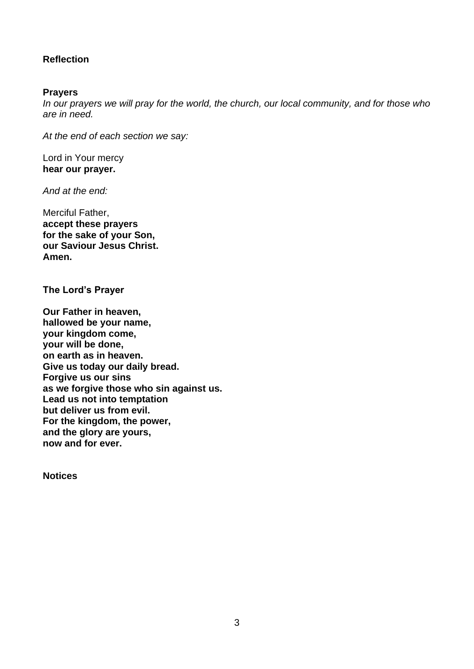# **Reflection**

#### **Prayers**

*In our prayers we will pray for the world, the church, our local community, and for those who are in need.* 

*At the end of each section we say:*

Lord in Your mercy **hear our prayer.** 

*And at the end:*

Merciful Father, **accept these prayers for the sake of your Son, our Saviour Jesus Christ. Amen.**

**The Lord's Prayer**

**Our Father in heaven, hallowed be your name, your kingdom come, your will be done, on earth as in heaven. Give us today our daily bread. Forgive us our sins as we forgive those who sin against us. Lead us not into temptation but deliver us from evil. For the kingdom, the power, and the glory are yours, now and for ever.** 

**Notices**